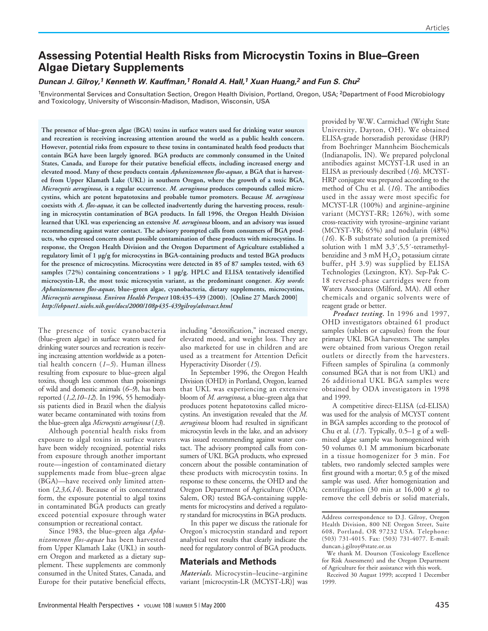# **Assessing Potential Health Risks from Microcystin Toxins in Blue–Green Algae Dietary Supplements**

# *Duncan J. Gilroy,1 Kenneth W. Kauffman,1 Ronald A. Hall,1 Xuan Huang,2 and Fun S. Chu2*

<sup>1</sup>Environmental Services and Consultation Section, Oregon Health Division, Portland, Oregon, USA; <sup>2</sup>Department of Food Microbiology and Toxicology, University of Wisconsin-Madison, Madison, Wisconsin, USA

**The presence of blue–green algae (BGA) toxins in surface waters used for drinking water sources and recreation is receiving increasing attention around the world as a public health concern. However, potential risks from exposure to these toxins in contaminated health food products that contain BGA have been largely ignored. BGA products are commonly consumed in the United States, Canada, and Europe for their putative beneficial effects, including increased energy and elevated mood. Many of these products contain** *Aphanizomenon flos-aquae***, a BGA that is harvested from Upper Klamath Lake (UKL) in southern Oregon, where the growth of a toxic BGA,** *Microcystis aeruginosa***, is a regular occurrence.** *M. aeruginosa* **produces compounds called microcystins, which are potent hepatotoxins and probable tumor promoters. Because** *M. aeruginosa* **coexists with** *A. flos-aquae***, it can be collected inadvertently during the harvesting process, resulting in microcystin contamination of BGA products. In fall 1996, the Oregon Health Division learned that UKL was experiencing an extensive** *M. aeruginosa* **bloom, and an advisory was issued recommending against water contact. The advisory prompted calls from consumers of BGA products, who expressed concern about possible contamination of these products with microcystins. In response, the Oregon Health Division and the Oregon Department of Agriculture established a regulatory limit of 1 µg/g for microcystins in BGA-containing products and tested BGA products for the presence of microcystins. Microcystins were detected in 85 of 87 samples tested, with 63 samples (72%) containing concentrations > 1 µg/g. HPLC and ELISA tentatively identified microcystin-LR, the most toxic microcystin variant, as the predominant congener.** *Key words***:** *Aphanizomenon flos-aquae***, blue–green algae, cyanobacteria, dietary supplements, microcystins,** *Microcystis aeruginosa***.** *Environ Health Perspect* **108:435–439 (2000). [Online 27 March 2000]** *http://ehpnet1.niehs.nih.gov/docs/2000/108p435-439gilroy/abstract.html*

The presence of toxic cyanobacteria (blue–green algae) in surface waters used for drinking water sources and recreation is receiving increasing attention worldwide as a potential health concern (*1–5*). Human illness resulting from exposure to blue–green algal toxins, though less common than poisonings of wild and domestic animals (*6–9*), has been reported (*1,2,10–12*). In 1996, 55 hemodialysis patients died in Brazil when the dialysis water became contaminated with toxins from the blue–green alga *Microcystis aeruginosa* (*13*).

Although potential health risks from exposure to algal toxins in surface waters have been widely recognized, potential risks from exposure through another important route—ingestion of contaminated dietary supplements made from blue–green algae (BGA)—have received only limited attention (*2,3,6,14*). Because of its concentrated form, the exposure potential to algal toxins in contaminated BGA products can greatly exceed potential exposure through water consumption or recreational contact.

Since 1983, the blue–green alga *Aphanizomenon flos-aquae* has been harvested from Upper Klamath Lake (UKL) in southern Oregon and marketed as a dietary supplement. These supplements are commonly consumed in the United States, Canada, and Europe for their putative beneficial effects,

including "detoxification," increased energy, elevated mood, and weight loss. They are also marketed for use in children and are used as a treatment for Attention Deficit Hyperactivity Disorder (*15*).

In September 1996, the Oregon Health Division (OHD) in Portland, Oregon, learned that UKL was experiencing an extensive bloom of *M. aeruginosa*, a blue–green alga that produces potent hepatotoxins called microcystins. An investigation revealed that the *M. aeruginosa* bloom had resulted in significant microcystin levels in the lake, and an advisory was issued recommending against water contact. The advisory prompted calls from consumers of UKL BGA products, who expressed concern about the possible contamination of these products with microcystin toxins. In response to these concerns, the OHD and the Oregon Department of Agriculture (ODA; Salem, OR) tested BGA-containing supplements for microcystins and derived a regulatory standard for microcystins in BGA products.

In this paper we discuss the rationale for Oregon's microcystin standard and report analytical test results that clearly indicate the need for regulatory control of BGA products.

### **Materials and Methods**

*Materials.* Microcystin–leucine–arginine variant [microcystin-LR (MCYST-LR)] was provided by W.W. Carmichael (Wright State University, Dayton, OH). We obtained ELISA-grade horseradish peroxidase (HRP) from Boehringer Mannheim Biochemicals (Indianapolis, IN). We prepared polyclonal antibodies against MCYST-LR used in an ELISA as previously described (*16*). MCYST-HRP conjugate was prepared according to the method of Chu et al. (*16*). The antibodies used in the assay were most specific for MCYST-LR (100%) and arginine–arginine variant (MCYST-RR; 126%), with some cross-reactivity with tyrosine–arginine variant (MCYST-YR; 65%) and nodularin (48%) (*16*). K-B substrate solution (a premixed solution with 1 mM 3,3',5,5'-tetramethylbenzidine and  $3 \text{ mM } H_2O_2$  potassium citrate buffer, pH 3.9) was supplied by ELISA Technologies (Lexington, KY). Sep-Pak C-18 reversed-phase cartridges were from Waters Associates (Milford, MA). All other chemicals and organic solvents were of reagent grade or better.

*Product testing.* In 1996 and 1997, OHD investigators obtained 61 product samples (tablets or capsules) from the four primary UKL BGA harvesters. The samples were obtained from various Oregon retail outlets or directly from the harvesters. Fifteen samples of Spirulina (a commonly consumed BGA that is not from UKL) and 26 additional UKL BGA samples were obtained by ODA investigators in 1998 and 1999.

A competitive direct-ELISA (cd-ELISA) was used for the analysis of MCYST content in BGA samples according to the protocol of Chu et al.  $(17)$ . Typically, 0.5–1 g of a wellmixed algae sample was homogenized with 50 volumes 0.1 M ammonium bicarbonate in a tissue homogenizer for 3 min. For tablets, two randomly selected samples were first ground with a mortar; 0.5 g of the mixed sample was used. After homogenization and centrifugation (30 min at  $16,000 \times g$ ) to remove the cell debris or solid materials,

Address correspondence to D.J. Gilroy, Oregon Health Division, 800 NE Oregon Street, Suite 608, Portland, OR 97232 USA. Telephone: (503) 731-4015. Fax: (503) 731-4077. E-mail: duncan.j.gilroy@state.or.us

We thank M. Dourson (Toxicology Excellence for Risk Assessment) and the Oregon Department of Agriculture for their assistance with this work.

Received 30 August 1999; accepted 1 December 1999.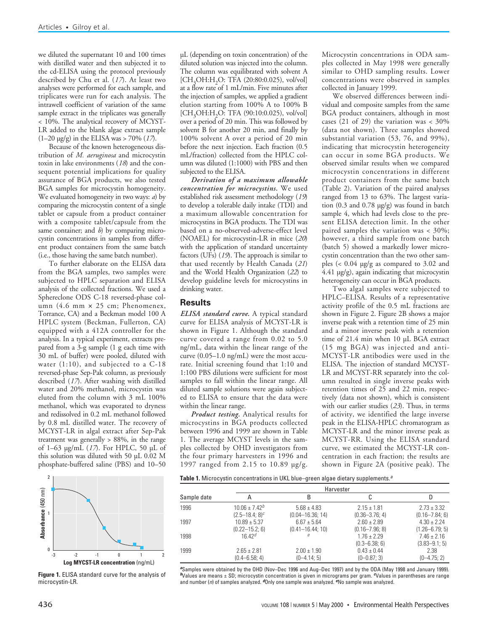we diluted the supernatant 10 and 100 times with distilled water and then subjected it to the cd-ELISA using the protocol previously described by Chu et al. (*17*). At least two analyses were performed for each sample, and triplicates were run for each analysis. The intrawell coefficient of variation of the same sample extract in the triplicates was generally < 10%. The analytical recovery of MCYST-LR added to the blank algae extract sample (1–20 µg/g) in the ELISA was > 70% (*17*).

Because of the known heterogeneous distribution of *M. aeruginosa* and microcystin toxin in lake environments (*18*) and the consequent potential implications for quality assurance of BGA products, we also tested BGA samples for microcystin homogeneity. We evaluated homogeneity in two ways: *a*) by comparing the microcystin content of a single tablet or capsule from a product container with a composite tablet/capsule from the same container; and *b*) by comparing microcystin concentrations in samples from different product containers from the same batch (i.e., those having the same batch number).

To further elaborate on the ELISA data from the BGA samples, two samples were subjected to HPLC separation and ELISA analysis of the collected fractions. We used a Sphereclone ODS C-18 reversed-phase column (4.6 mm × 25 cm; Phenomenex, Torrance, CA) and a Beckman model 100 A HPLC system (Beckman, Fullerton, CA) equipped with a 412A controller for the analysis. In a typical experiment, extracts prepared from a 3-g sample (1 g each time with 30 mL of buffer) were pooled, diluted with water (1:10), and subjected to a C-18 reversed-phase Sep-Pak column, as previously described (*17*). After washing with distilled water and 20% methanol, microcystin was eluted from the column with 3 mL 100% methanol, which was evaporated to dryness and redissolved in 0.2 mL methanol followed by 0.8 mL distilled water. The recovery of MCYST-LR in algal extract after Sep-Pak treatment was generally  $> 88\%$ , in the range of 1–63 µg/mL (*17*). For HPLC, 50 µL of this solution was diluted with 50 µL 0.02 M phosphate-buffered saline (PBS) and 10–50



**Figure 1.** ELISA standard curve for the analysis of microcystin-LR.

µL (depending on toxin concentration) of the diluted solution was injected into the column. The column was equilibrated with solvent A  $[CH<sub>3</sub>OH:H<sub>2</sub>O: TFA (20:80:0.025), vol/voll]$ at a flow rate of 1 mL/min. Five minutes after the injection of samples, we applied a gradient elution starting from 100% A to 100% B  $[CH<sub>3</sub>OH:H<sub>2</sub>O: TFA (90:10:0.025), vol/vol]$ over a period of 20 min. This was followed by solvent B for another 20 min, and finally by 100% solvent A over a period of 20 min before the next injection. Each fraction (0.5 mL/fraction) collected from the HPLC column was diluted (1:1000) with PBS and then subjected to the ELISA.

*Derivation of a maximum allowable concentration for microcystins.* We used established risk assessment methodology (*19*) to develop a tolerable daily intake (TDI) and a maximum allowable concentration for microcystins in BGA products. The TDI was based on a no-observed-adverse-effect level (NOAEL) for microcystin-LR in mice (*20*) with the application of standard uncertainty factors (UFs) (*19*). The approach is similar to that used recently by Health Canada (*21*) and the World Health Organization (*22*) to develop guideline levels for microcystins in drinking water.

### **Results**

*ELISA standard curve.* A typical standard curve for ELISA analysis of MCYST-LR is shown in Figure 1. Although the standard curve covered a range from 0.02 to 5.0 ng/mL, data within the linear range of the curve (0.05–1.0 ng/mL) were the most accurate. Initial screening found that 1:10 and 1:100 PBS dilutions were sufficient for most samples to fall within the linear range. All diluted sample solutions were again subjected to ELISA to ensure that the data were within the linear range.

*Product testing.* Analytical results for microcystins in BGA products collected between 1996 and 1999 are shown in Table 1. The average MCYST levels in the samples collected by OHD investigators from the four primary harvesters in 1996 and 1997 ranged from 2.15 to 10.89 µg/g.

Microcystin concentrations in ODA samples collected in May 1998 were generally similar to OHD sampling results. Lower concentrations were observed in samples collected in January 1999.

We observed differences between individual and composite samples from the same BGA product containers, although in most cases (21 of 29) the variation was  $<$  30% (data not shown). Three samples showed substantial variation (53, 76, and 99%), indicating that microcystin heterogeneity can occur in some BGA products. We observed similar results when we compared microcystin concentrations in different product containers from the same batch (Table 2). Variation of the paired analyses ranged from 13 to 63%. The largest variation (0.3 and 0.78 µg/g) was found in batch sample 4, which had levels close to the present ELISA detection limit. In the other paired samples the variation was < 30%; however, a third sample from one batch (batch 5) showed a markedly lower microcystin concentration than the two other samples (< 0.04 µg/g as compared to 3.02 and 4.41 µg/g), again indicating that microcystin heterogeneity can occur in BGA products.

Two algal samples were subjected to HPLC–ELISA. Results of a representative activity profile of the 0.5 mL fractions are shown in Figure 2. Figure 2B shows a major inverse peak with a retention time of 25 min and a minor inverse peak with a retention time of 21.4 min when 10 µL BGA extract (15 mg BGA) was injected and anti-MCYST-LR antibodies were used in the ELISA. The injection of standard MCYST-LR and MCYST-RR separately into the column resulted in single inverse peaks with retention times of 25 and 22 min, respectively (data not shown), which is consistent with our earlier studies (*23*). Thus, in terms of activity, we identified the large inverse peak in the ELISA-HPLC chromatogram as MCYST-LR and the minor inverse peak as MCYST-RR. Using the ELISA standard curve, we estimated the MCYST-LR concentration in each fraction; the results are shown in Figure 2A (positive peak). The

**Table 1.** Microcystin concentrations in UKL blue–green algae dietary supplements.*<sup>a</sup>*

|             | Harvester           |                      |                                      |                                      |  |  |
|-------------|---------------------|----------------------|--------------------------------------|--------------------------------------|--|--|
| Sample date |                     | B                    |                                      | D                                    |  |  |
| 1996        | $10.06 + 7.42^b$    | $5.68 \pm 4.83$      | $2.15 \pm 1.81$                      | $2.73 \pm 3.32$                      |  |  |
|             | $(2.5 - 18.4; 8)^c$ | $(0.04 - 16.36; 14)$ | $(0.36 - 3.76; 4)$                   | $(0.16 - 7.84; 6)$                   |  |  |
| 1997        | $10.89 \pm 5.37$    | $6.67 \pm 5.64$      | $2.60 \pm 2.89$                      | $4.30 + 2.24$                        |  |  |
|             | $(0.22 - 15.2; 6)$  | $(0.41 - 16.44; 10)$ | $(0.16 - 7.96; 8)$                   | $(1.26 - 6.79; 5)$                   |  |  |
| 1998        | 1642 <sup>d</sup>   | е                    | $1.76 \pm 2.29$<br>$(0.3 - 6.38; 6)$ | $7.46 \pm 2.16$<br>$(3.83 - 9.1; 5)$ |  |  |
| 1999        | $2.65 \pm 2.81$     | $2.00 \pm 1.90$      | $0.43 \pm 0.44$                      | 2.38                                 |  |  |
|             | $(0.4 - 6.58; 4)$   | $(0-4.14; 5)$        | $(0 - 0.87; 3)$                      | $(0-4.75; 2)$                        |  |  |

*<sup>a</sup>*Samples were obtained by the OHD (Nov–Dec 1996 and Aug–Dec 1997) and by the ODA (May 1998 and January 1999). *<sup>b</sup>*Values are means ± SD; microcystin concentration is given in micrograms per gram. *c*Values in parentheses are range and number (*n*) of samples analyzed. *d*Only one sample was analyzed. *e*No sample was analyzed.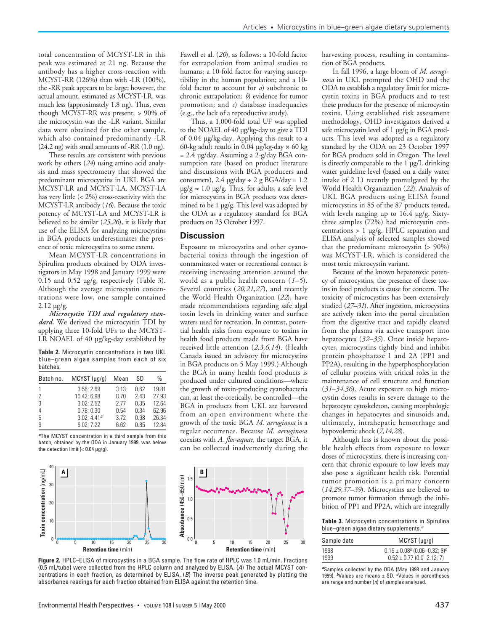total concentration of MCYST-LR in this peak was estimated at 21 ng. Because the antibody has a higher cross-reaction with MCYST-RR (126%) than with -LR (100%), the -RR peak appears to be large; however, the actual amount, estimated as MCYST-LR, was much less (approximately 1.8 ng). Thus, even though MCYST-RR was present, > 90% of the microcystin was the -LR variant. Similar data were obtained for the other sample, which also contained predominantly -LR (24.2 ng) with small amounts of -RR (1.0 ng).

These results are consistent with previous work by others (*24*) using amino acid analysis and mass spectrometry that showed the predominant microcystins in UKL BGA are MCYST-LR and MCYST-LA. MCYST-LA has very little (< 2%) cross-reactivity with the MCYST-LR antibody (*16*). Because the toxic potency of MCYST-LA and MCYST-LR is believed to be similar (*25,26*), it is likely that use of the ELISA for analyzing microcystins in BGA products underestimates the presence of toxic microcystins to some extent.

Mean MCYST-LR concentrations in Spirulina products obtained by ODA investigators in May 1998 and January 1999 were 0.15 and 0.52 µg/g, respectively (Table 3). Although the average microcystin concentrations were low, one sample contained 2.12 µg/g.

*Microcystin TDI and regulatory standard.* We derived the microcystin TDI by applying three 10-fold UFs to the MCYST-LR NOAEL of 40 µg/kg-day established by

**Table 2.** Microcystin concentrations in two UKL blue–green algae samples from each of six batches.

| Batch no. | $MCYST(\mu q/q)$ | Mean | SD   | %     |
|-----------|------------------|------|------|-------|
|           | 3.56; 2.69       | 3.13 | 0.62 | 19.81 |
| 2         | 10.42: 6.98      | 8.70 | 2.43 | 27.93 |
| 3         | 3.02:2.52        | 2.77 | 0.35 | 12.64 |
| 4         | 0.78:0.30        | 0.54 | 0.34 | 62.96 |
| 5         | 3.02: $4.41a$    | 3.72 | 0.98 | 26.34 |
| 6         | 6.02:7.22        | 6.62 | በ 85 | 1284  |

*<sup>a</sup>*The MCYST concentration in a third sample from this batch, obtained by the ODA in January 1999, was below the detection limit  $\left( < 0.04 \right.$  µg/g).

40

30

20

Toxin concentration (ng/mL)

10 0 **Toxin concentration** (ng/mL)

 $\overline{0}$ 

Fawell et al. (*20*), as follows: a 10-fold factor for extrapolation from animal studies to humans; a 10-fold factor for varying susceptibility in the human population; and a 10 fold factor to account for *a*) subchronic to chronic extrapolation; *b*) evidence for tumor promotion; and *c*) database inadequacies (e.g., the lack of a reproductive study).

Thus, a 1,000-fold total UF was applied to the NOAEL of 40 µg/kg-day to give a TDI of 0.04 µg/kg-day. Applying this result to a 60-kg adult results in 0.04  $\mu$ g/kg-day  $\times$  60 kg  $= 2.4$  µg/day. Assuming a 2-g/day BGA consumption rate (based on product literature and discussions with BGA producers and consumers),  $2.4 \mu g/day + 2 g BGA/day = 1.2$  $\mu$ g/g  $\approx$  1.0  $\mu$ g/g. Thus, for adults, a safe level for microcystins in BGA products was determined to be 1 µg/g. This level was adopted by the ODA as a regulatory standard for BGA products on 23 October 1997.

## **Discussion**

Exposure to microcystins and other cyanobacterial toxins through the ingestion of contaminated water or recreational contact is receiving increasing attention around the world as a public health concern (*1–5*). Several countries (*20,21,27*), and recently the World Health Organization (*22*), have made recommendations regarding safe algal toxin levels in drinking water and surface waters used for recreation. In contrast, potential health risks from exposure to toxins in health food products made from BGA have received little attention (*2,3,6,14*). (Health Canada issued an advisory for microcystins in BGA products on 5 May 1999.) Although the BGA in many health food products is produced under cultured conditions—where the growth of toxin-producing cyanobacteria can, at least the-oretically, be controlled—the BGA in products from UKL are harvested from an open environment where the growth of the toxic BGA *M. aeruginosa* is a regular occurrence. Because *M. aeruginosa* coexists with *A. flos-aquae*, the target BGA, it can be collected inadvertently during the



**Figure 2.** HPLC–ELISA of microcystins in a BGA sample. The flow rate of HPLC was 1.0 mL/min. Fractions (0.5 mL/tube) were collected from the HPLC column and analyzed by ELISA. (*A*) The actual MCYST concentrations in each fraction, as determined by ELISA. (*B*) The inverse peak generated by plotting the absorbance readings for each fraction obtained from ELISA against the retention time.

harvesting process, resulting in contamination of BGA products.

In fall 1996, a large bloom of *M. aeruginosa* in UKL prompted the OHD and the ODA to establish a regulatory limit for microcystin toxins in BGA products and to test these products for the presence of microcystin toxins. Using established risk assessment methodology, OHD investigators derived a safe microcystin level of 1 µg/g in BGA products. This level was adopted as a regulatory standard by the ODA on 23 October 1997 for BGA products sold in Oregon. The level is directly comparable to the 1 µg/L drinking water guideline level (based on a daily water intake of 2 L) recently promulgated by the World Health Organization (*22*). Analysis of UKL BGA products using ELISA found microcystins in 85 of the 87 products tested, with levels ranging up to 16.4 µg/g. Sixtythree samples (72%) had microcystin concentrations > 1 µg/g. HPLC separation and ELISA analysis of selected samples showed that the predominant microcystin (> 90%) was MCYST-LR, which is considered the most toxic microcystin variant.

Because of the known hepatotoxic potency of microcystins, the presence of these toxins in food products is cause for concern. The toxicity of microcystins has been extensively studied (*27–31*). After ingestion, microcystins are actively taken into the portal circulation from the digestive tract and rapidly cleared from the plasma via active transport into hepatocytes (*32–35*). Once inside hepatocytes, microcystins tightly bind and inhibit protein phosphatase 1 and 2A (PP1 and PP2A), resulting in the hyperphosphorylation of cellular proteins with critical roles in the maintenance of cell structure and function (*31–34,36*). Acute exposure to high microcystin doses results in severe damage to the hepatocyte cytoskeleton, causing morphologic changes in hepatocytes and sinusoids and, ultimately, intrahepatic hemorrhage and hypovolemic shock (*7,14,28*).

Although less is known about the possible health effects from exposure to lower doses of microcystins, there is increasing concern that chronic exposure to low levels may also pose a significant health risk. Potential tumor promotion is a primary concern (*14,29,37–39*). Microcystins are believed to promote tumor formation through the inhibition of PP1 and PP2A, which are integrally

**Table 3.** Microcystin concentrations in Spirulina blue–green algae dietary supplements.*<sup>a</sup>*

| Sample date | $MCYST(\mu q/q)$                         |  |  |
|-------------|------------------------------------------|--|--|
| 1998        | $0.15 \pm 0.08^{b} (0.06 - 0.32; 8)^{c}$ |  |  |
| 1999        | $0.52 \pm 0.77$ (0.0-2.12; 7)            |  |  |

*<sup>a</sup>*Samples collected by the ODA (May 1998 and January 1999). *b*Values are means ± SD. *c*Values in parentheses are range and number (*n*) of samples analyzed.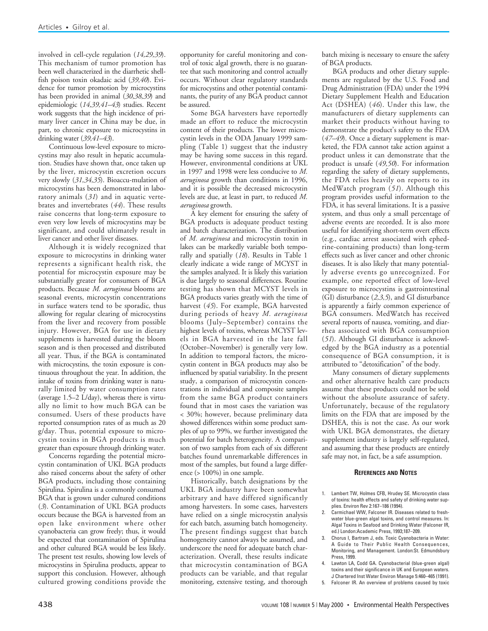involved in cell-cycle regulation (*14,29,39*). This mechanism of tumor promotion has been well characterized in the diarrhetic shellfish poison toxin okadaic acid (*39,40*). Evidence for tumor promotion by microcystins has been provided in animal (*30,38,39*) and epidemiologic (*14,39,41–43*) studies. Recent work suggests that the high incidence of primary liver cancer in China may be due, in part, to chronic exposure to microcystins in drinking water (*39,41–43*).

Continuous low-level exposure to microcystins may also result in hepatic accumulation. Studies have shown that, once taken up by the liver, microcystin excretion occurs very slowly (*31,34,35*). Bioaccu-mulation of microcystins has been demonstrated in laboratory animals (*31*) and in aquatic vertebrates and invertebrates (*44*). These results raise concerns that long-term exposure to even very low levels of microcystins may be significant, and could ultimately result in liver cancer and other liver diseases.

Although it is widely recognized that exposure to microcystins in drinking water represents a significant health risk, the potential for microcystin exposure may be substantially greater for consumers of BGA products. Because *M. aeruginosa* blooms are seasonal events, microcystin concentrations in surface waters tend to be sporadic, thus allowing for regular clearing of microcystins from the liver and recovery from possible injury. However, BGA for use in dietary supplements is harvested during the bloom season and is then processed and distributed all year. Thus, if the BGA is contaminated with microcystins, the toxin exposure is continuous throughout the year. In addition, the intake of toxins from drinking water is naturally limited by water consumption rates (average 1.5–2 L/day), whereas there is virtually no limit to how much BGA can be consumed. Users of these products have reported consumption rates of as much as 20 g/day. Thus, potential exposure to microcystin toxins in BGA products is much greater than exposure through drinking water.

Concerns regarding the potential microcystin contamination of UKL BGA products also raised concerns about the safety of other BGA products, including those containing Spirulina. Spirulina is a commonly consumed BGA that is grown under cultured conditions (*3*). Contamination of UKL BGA products occurs because the BGA is harvested from an open lake environment where other cyanobacteria can grow freely; thus, it would be expected that contamination of Spirulina and other cultured BGA would be less likely. The present test results, showing low levels of microcystins in Spirulina products, appear to support this conclusion. However, although cultured growing conditions provide the

opportunity for careful monitoring and control of toxic algal growth, there is no guarantee that such monitoring and control actually occurs. Without clear regulatory standards for microcystins and other potential contaminants, the purity of any BGA product cannot be assured.

Some BGA harvesters have reportedly made an effort to reduce the microcystin content of their products. The lower microcystin levels in the ODA January 1999 sampling (Table 1) suggest that the industry may be having some success in this regard. However, environmental conditions at UKL in 1997 and 1998 were less conducive to *M. aeruginosa* growth than conditions in 1996, and it is possible the decreased microcystin levels are due, at least in part, to reduced *M. aeruginosa* growth.

A key element for ensuring the safety of BGA products is adequate product testing and batch characterization. The distribution of *M. aeruginosa* and microcystin toxin in lakes can be markedly variable both temporally and spatially (*18*). Results in Table 1 clearly indicate a wide range of MCYST in the samples analyzed. It is likely this variation is due largely to seasonal differences. Routine testing has shown that MCYST levels in BGA products varies greatly with the time of harvest (*45*). For example, BGA harvested during periods of heavy *M. aeruginosa* blooms (July–September) contains the highest levels of toxins, whereas MCYST levels in BGA harvested in the late fall (October–November) is generally very low. In addition to temporal factors, the microcystin content in BGA products may also be influenced by spatial variability. In the present study, a comparison of microcystin concentrations in individual and composite samples from the same BGA product containers found that in most cases the variation was < 30%; however, because preliminary data showed differences within some product samples of up to 99%, we further investigated the potential for batch heterogeneity. A comparison of two samples from each of six different batches found unremarkable differences in most of the samples, but found a large difference (> 100%) in one sample.

Historically, batch designations by the UKL BGA industry have been somewhat arbitrary and have differed significantly among harvesters. In some cases, harvesters have relied on a single microcystin analysis for each batch, assuming batch homogeneity. The present findings suggest that batch homogeneity cannot always be assumed, and underscore the need for adequate batch characterization. Overall, these results indicate that microcystin contamination of BGA products can be variable, and that regular monitoring, extensive testing, and thorough batch mixing is necessary to ensure the safety of BGA products.

BGA products and other dietary supplements are regulated by the U.S. Food and Drug Administration (FDA) under the 1994 Dietary Supplement Health and Education Act (DSHEA) (*46*). Under this law, the manufacturers of dietary supplements can market their products without having to demonstrate the product's safety to the FDA (*47–49*). Once a dietary supplement is marketed, the FDA cannot take action against a product unless it can demonstrate that the product is unsafe (*49,50*). For information regarding the safety of dietary supplements, the FDA relies heavily on reports to its MedWatch program (*51*). Although this program provides useful information to the FDA, it has several limitations. It is a passive system, and thus only a small percentage of adverse events are recorded. It is also more useful for identifying short-term overt effects (e.g., cardiac arrest associated with ephedrine-containing products) than long-term effects such as liver cancer and other chronic diseases. It is also likely that many potentially adverse events go unrecognized. For example, one reported effect of low-level exposure to microcystins is gastrointestinal (GI) disturbance (*2,3,5*), and GI disturbance is apparently a fairly common experience of BGA consumers. MedWatch has received several reports of nausea, vomiting, and diarrhea associated with BGA consumption (*51*). Although GI disturbance is acknowledged by the BGA industry as a potential consequence of BGA consumption, it is attributed to "detoxification" of the body.

Many consumers of dietary supplements and other alternative health care products assume that these products could not be sold without the absolute assurance of safety. Unfortunately, because of the regulatory limits on the FDA that are imposed by the DSHEA, this is not the case. As our work with UKL BGA demonstrates, the dietary supplement industry is largely self-regulated, and assuming that these products are entirely safe may not, in fact, be a safe assumption.

#### **REFERENCES AND NOTES**

- 1. Lambert TW, Holmes CFB, Hrudey SE. Microcystin class of toxins: health effects and safety of drinking water supplies. Environ Rev 2:167–186 (1994).
- 2. Carmichael WW, Falconer IR. Diseases related to freshwater blue-green algal toxins, and control measures. In: Algal Toxins in Seafood and Drinking Water (Falconer IR, ed.) London:Academic Press, 1993;187–209.
- 3. Chorus I, Bartram J, eds. Toxic Cyanobacteria in Water: A Guide to Their Public Health Consequences, Monitoring, and Management. London:St. Edmundsbury Press, 1999.
- 4. Lawton LA, Codd GA. Cyanobacterial (blue-green algal) toxins and their significance in UK and European waters. J Chartered Inst Water Environ Manage 5:460–465 (1991).
- Falconer IR. An overview of problems caused by toxic